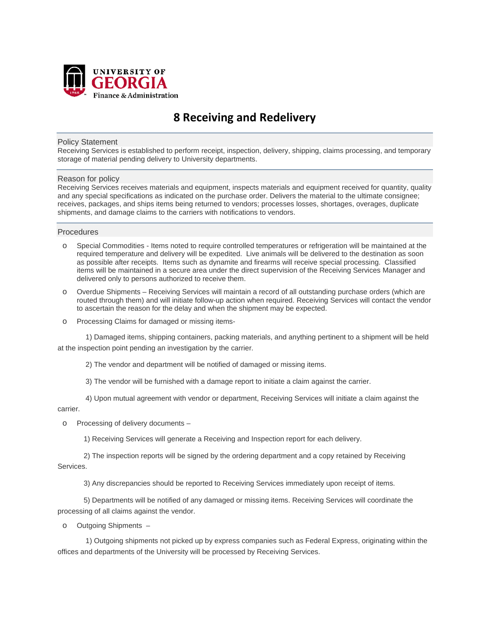

# **8 Receiving and Redelivery**

## Policy Statement

Receiving Services is established to perform receipt, inspection, delivery, shipping, claims processing, and temporary storage of material pending delivery to University departments.

#### Reason for policy

Receiving Services receives materials and equipment, inspects materials and equipment received for quantity, quality and any special specifications as indicated on the purchase order. Delivers the material to the ultimate consignee; receives, packages, and ships items being returned to vendors; processes losses, shortages, overages, duplicate shipments, and damage claims to the carriers with notifications to vendors.

## **Procedures**

- o Special Commodities Items noted to require controlled temperatures or refrigeration will be maintained at the required temperature and delivery will be expedited. Live animals will be delivered to the destination as soon as possible after receipts. Items such as dynamite and firearms will receive special processing. Classified items will be maintained in a secure area under the direct supervision of the Receiving Services Manager and delivered only to persons authorized to receive them.
- o Overdue Shipments Receiving Services will maintain a record of all outstanding purchase orders (which are routed through them) and will initiate follow-up action when required. Receiving Services will contact the vendor to ascertain the reason for the delay and when the shipment may be expected.
- o Processing Claims for damaged or missing items-

 1) Damaged items, shipping containers, packing materials, and anything pertinent to a shipment will be held at the inspection point pending an investigation by the carrier.

2) The vendor and department will be notified of damaged or missing items.

3) The vendor will be furnished with a damage report to initiate a claim against the carrier.

 4) Upon mutual agreement with vendor or department, Receiving Services will initiate a claim against the carrier.

o Processing of delivery documents –

1) Receiving Services will generate a Receiving and Inspection report for each delivery.

 2) The inspection reports will be signed by the ordering department and a copy retained by Receiving Services.

3) Any discrepancies should be reported to Receiving Services immediately upon receipt of items.

 5) Departments will be notified of any damaged or missing items. Receiving Services will coordinate the processing of all claims against the vendor.

o Outgoing Shipments –

 1) Outgoing shipments not picked up by express companies such as Federal Express, originating within the offices and departments of the University will be processed by Receiving Services.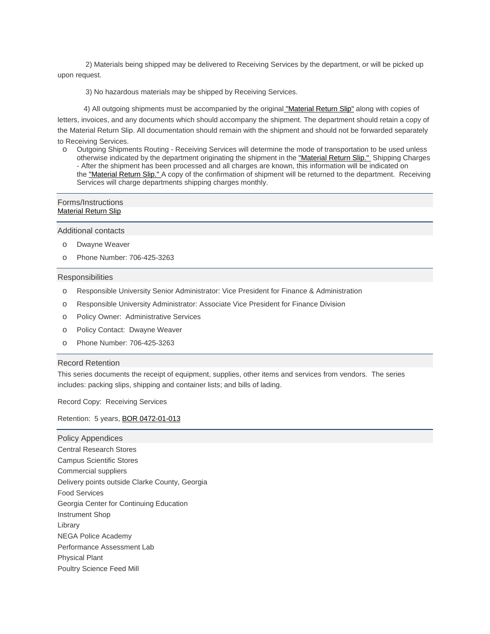2) Materials being shipped may be delivered to Receiving Services by the department, or will be picked up upon request.

3) No hazardous materials may be shipped by Receiving Services.

4) All outgoing shipments must be accompanied by the original ["Material](https://busfin3.busfin.uga.edu/administrative/material_return_slip_login.cfm) Return Slip" along with copies of

letters, invoices, and any documents which should accompany the shipment. The department should retain a copy of the Material Return Slip. All documentation should remain with the shipment and should not be forwarded separately to Receiving Services.

o Outgoing Shipments Routing - Receiving Services will determine the mode of transportation to be used unless otherwise indicated by the department originating the shipment in the ["Material](https://busfin3.busfin.uga.edu/administrative/material_return_slip_login.cfm) Return Slip." Shipping Charges - After the shipment has been processed and all charges are known, this information will be indicated on the ["Material](https://busfin3.busfin.uga.edu/administrative/material_return_slip_login.cfm) Return Slip." A copy of the confirmation of shipment will be returned to the department. Receiving Services will charge departments shipping charges monthly.

#### Forms/Instructions [Material](https://busfin3.busfin.uga.edu/administrative/material_return_slip_login.cfm) Return Slip

Additional contacts

- o Dwayne Weaver
- o Phone Number: 706-425-3263

## **Responsibilities**

- o Responsible University Senior Administrator: Vice President for Finance & Administration
- o Responsible University Administrator: Associate Vice President for Finance Division
- o Policy Owner: Administrative Services
- o Policy Contact: Dwayne Weaver
- o Phone Number: 706-425-3263

#### Record Retention

This series documents the receipt of equipment, supplies, other items and services from vendors. The series includes: packing slips, shipping and container lists; and bills of lading.

Record Copy: Receiving Services

Retention: 5 years, BOR [0472-01-013](http://www.usg.edu/records_management/schedules/usg_search/0e045c66cba1494982211be8bbd756eb/)

Policy Appendices Central Research Stores Campus Scientific Stores Commercial suppliers Delivery points outside Clarke County, Georgia Food Services Georgia Center for Continuing Education Instrument Shop Library NEGA Police Academy Performance Assessment Lab Physical Plant Poultry Science Feed Mill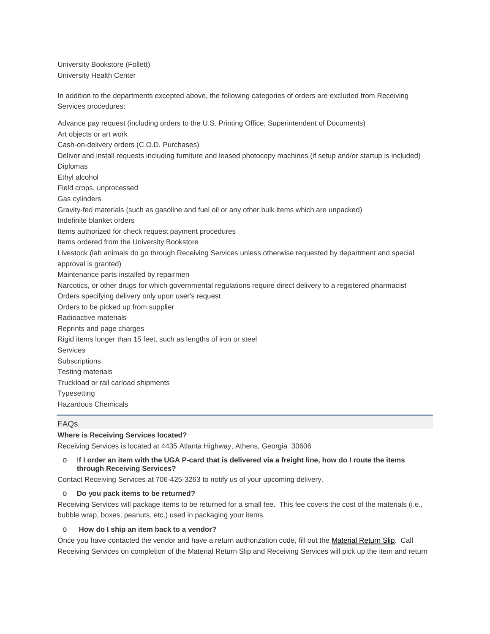University Bookstore (Follett) University Health Center

In addition to the departments excepted above, the following categories of orders are excluded from Receiving Services procedures:

Advance pay request (including orders to the U.S. Printing Office, Superintendent of Documents) Art objects or art work Cash-on-delivery orders (C.O.D. Purchases) Deliver and install requests including furniture and leased photocopy machines (if setup and/or startup is included) Diplomas Ethyl alcohol Field crops, unprocessed Gas cylinders Gravity-fed materials (such as gasoline and fuel oil or any other bulk items which are unpacked) Indefinite blanket orders Items authorized for check request payment procedures Items ordered from the University Bookstore Livestock (lab animals do go through Receiving Services unless otherwise requested by department and special approval is granted) Maintenance parts installed by repairmen Narcotics, or other drugs for which governmental regulations require direct delivery to a registered pharmacist Orders specifying delivery only upon user's request Orders to be picked up from supplier Radioactive materials Reprints and page charges Rigid items longer than 15 feet, such as lengths of iron or steel Services **Subscriptions** Testing materials Truckload or rail carload shipments **Typesetting** Hazardous Chemicals

# FAQs

## **Where is Receiving Services located?**

Receiving Services is located at 4435 Atlanta Highway, Athens, Georgia 30606

## o I**f I order an item with the UGA P-card that is delivered via a freight line, how do I route the items through Receiving Services?**

Contact Receiving Services at 706-425-3263 to notify us of your upcoming delivery.

## o **Do you pack items to be returned?**

Receiving Services will package items to be returned for a small fee. This fee covers the cost of the materials (i.e., bubble wrap, boxes, peanuts, etc.) used in packaging your items.

## o **How do I ship an item back to a vendor?**

Once you have contacted the vendor and have a return authorization code, fill out the [Material](https://busfin3.busfin.uga.edu/administrative/material_return_slip_login.cfm) Return Slip. Call Receiving Services on completion of the Material Return Slip and Receiving Services will pick up the item and return